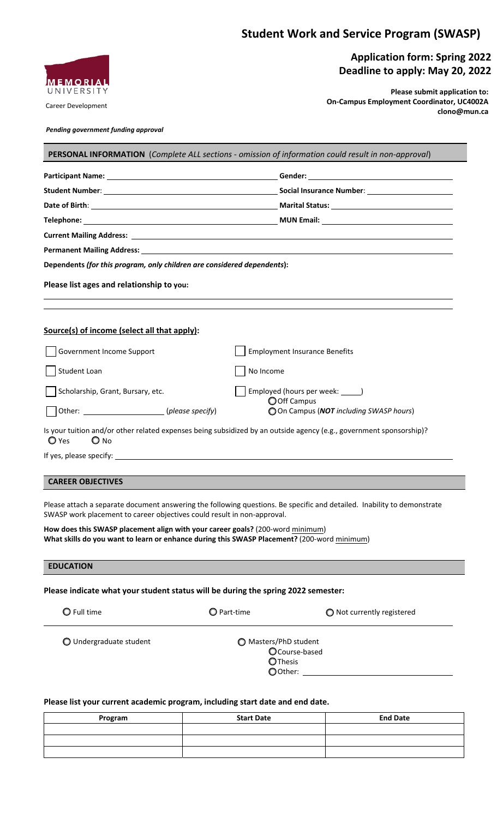# **Student Work and Service Program (SWASP)**



#### Career Development

## **Application form: Spring 2022 Deadline to apply: May 20, 2022**

**Please submit application to: On-Campus Employment Coordinator, UC4002A clono@mun.ca**

*Pending government funding approval*

| Dependents (for this program, only children are considered dependents):                      |                                      |  |
|----------------------------------------------------------------------------------------------|--------------------------------------|--|
| Please list ages and relationship to you:                                                    |                                      |  |
|                                                                                              |                                      |  |
| Government Income Support                                                                    | <b>Employment Insurance Benefits</b> |  |
| Student Loan                                                                                 | No Income                            |  |
| Scholarship, Grant, Bursary, etc.                                                            | Employed (hours per week: _____)     |  |
| Source(s) of income (select all that apply):<br>Other: _____________________(please specify) | O Off Campus                         |  |

## **CAREER OBJECTIVES**

Please attach a separate document answering the following questions. Be specific and detailed. Inability to demonstrate SWASP work placement to career objectives could result in non-approval.

**How does this SWASP placement align with your career goals?** (200-word minimum) **What skills do you want to learn or enhance during this SWASP Placement?** (200-word minimum)

### **EDUCATION**

### **Please indicate what your student status will be during the spring 2022 semester:**

|  | $\bigcirc$ Full time |
|--|----------------------|
|  |                      |

 $\bigcirc$  Part-time  $\bigcirc$  Not currently registered

○ Undergraduate student Masters/PhD student

Course-based **O**Thesis Other:

#### Please list your current academic program, including start date and end date.

| Program | <b>Start Date</b> | <b>End Date</b> |
|---------|-------------------|-----------------|
|         |                   |                 |
|         |                   |                 |
|         |                   |                 |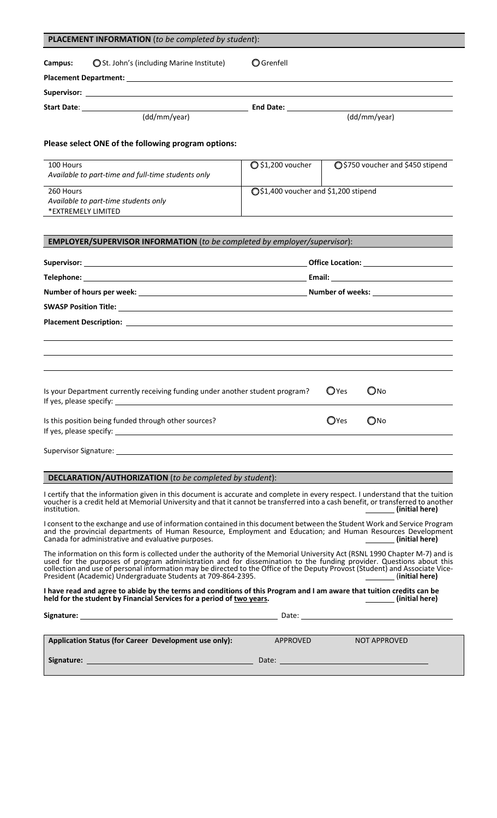| <b>PLACEMENT INFORMATION</b> (to be completed by student):                                                                                                                                                                                                                                                                                                                                                                                         |                            |                                       |                                                                                                                                                                                                                                |  |  |
|----------------------------------------------------------------------------------------------------------------------------------------------------------------------------------------------------------------------------------------------------------------------------------------------------------------------------------------------------------------------------------------------------------------------------------------------------|----------------------------|---------------------------------------|--------------------------------------------------------------------------------------------------------------------------------------------------------------------------------------------------------------------------------|--|--|
| ◯ St. John's (including Marine Institute)<br>Campus:                                                                                                                                                                                                                                                                                                                                                                                               | <b>O</b> Grenfell          |                                       |                                                                                                                                                                                                                                |  |  |
|                                                                                                                                                                                                                                                                                                                                                                                                                                                    |                            |                                       |                                                                                                                                                                                                                                |  |  |
|                                                                                                                                                                                                                                                                                                                                                                                                                                                    |                            |                                       |                                                                                                                                                                                                                                |  |  |
|                                                                                                                                                                                                                                                                                                                                                                                                                                                    |                            |                                       | (dd/mm/year)                                                                                                                                                                                                                   |  |  |
| Please select ONE of the following program options:                                                                                                                                                                                                                                                                                                                                                                                                |                            |                                       |                                                                                                                                                                                                                                |  |  |
| 100 Hours<br>Available to part-time and full-time students only                                                                                                                                                                                                                                                                                                                                                                                    | $\bigcirc$ \$1,200 voucher |                                       | ○ \$750 voucher and \$450 stipend                                                                                                                                                                                              |  |  |
| 260 Hours<br>Available to part-time students only<br>*EXTREMELY LIMITED                                                                                                                                                                                                                                                                                                                                                                            |                            | ○ \$1,400 voucher and \$1,200 stipend |                                                                                                                                                                                                                                |  |  |
| EMPLOYER/SUPERVISOR INFORMATION (to be completed by employer/supervisor):                                                                                                                                                                                                                                                                                                                                                                          |                            |                                       |                                                                                                                                                                                                                                |  |  |
|                                                                                                                                                                                                                                                                                                                                                                                                                                                    |                            |                                       | Office Location: Network of Second Second Second Second Second Second Second Second Second Second Second Second Second Second Second Second Second Second Second Second Second Second Second Second Second Second Second Secon |  |  |
|                                                                                                                                                                                                                                                                                                                                                                                                                                                    |                            |                                       |                                                                                                                                                                                                                                |  |  |
|                                                                                                                                                                                                                                                                                                                                                                                                                                                    |                            |                                       |                                                                                                                                                                                                                                |  |  |
|                                                                                                                                                                                                                                                                                                                                                                                                                                                    |                            |                                       |                                                                                                                                                                                                                                |  |  |
| Is your Department currently receiving funding under another student program?<br>If yes, please specify:                                                                                                                                                                                                                                                                                                                                           |                            | $\mathbf{O}$ Yes                      | $\bigcirc$ No                                                                                                                                                                                                                  |  |  |
| Is this position being funded through other sources?                                                                                                                                                                                                                                                                                                                                                                                               |                            | <b>O</b> Yes                          | $\bigcirc$ No                                                                                                                                                                                                                  |  |  |
|                                                                                                                                                                                                                                                                                                                                                                                                                                                    |                            |                                       |                                                                                                                                                                                                                                |  |  |
| <b>DECLARATION/AUTHORIZATION</b> (to be completed by student):                                                                                                                                                                                                                                                                                                                                                                                     |                            |                                       |                                                                                                                                                                                                                                |  |  |
| I certify that the information given in this document is accurate and complete in every respect. I understand that the tuition<br>voucher is a credit held at Memorial University and that it cannot be transferred into a cash benefit, or transferred to another<br>institution.                                                                                                                                                                 |                            |                                       | (initial here)                                                                                                                                                                                                                 |  |  |
| I consent to the exchange and use of information contained in this document between the Student Work and Service Program<br>and the provincial departments of Human Resource, Employment and Education; and Human Resources Development<br>Canada for administrative and evaluative purposes.                                                                                                                                                      |                            |                                       | (initial here)                                                                                                                                                                                                                 |  |  |
| The information on this form is collected under the authority of the Memorial University Act (RSNL 1990 Chapter M-7) and is<br>used for the purposes of program administration and for dissemination to the funding provider. Questions about this<br>collection and use of personal information may be directed to the Office of the Deputy Provost (Student) and Associate Vice-<br>President (Academic) Undergraduate Students at 709-864-2395. |                            |                                       | (initial here)                                                                                                                                                                                                                 |  |  |
| I have read and agree to abide by the terms and conditions of this Program and I am aware that tuition credits can be<br>held for the student by Financial Services for a period of two years.                                                                                                                                                                                                                                                     |                            |                                       | (initial here)                                                                                                                                                                                                                 |  |  |
|                                                                                                                                                                                                                                                                                                                                                                                                                                                    |                            |                                       |                                                                                                                                                                                                                                |  |  |
| Application Status (for Career Development use only):                                                                                                                                                                                                                                                                                                                                                                                              | APPROVED                   |                                       | <b>NOT APPROVED</b>                                                                                                                                                                                                            |  |  |
| Signature:                                                                                                                                                                                                                                                                                                                                                                                                                                         | Date:                      |                                       |                                                                                                                                                                                                                                |  |  |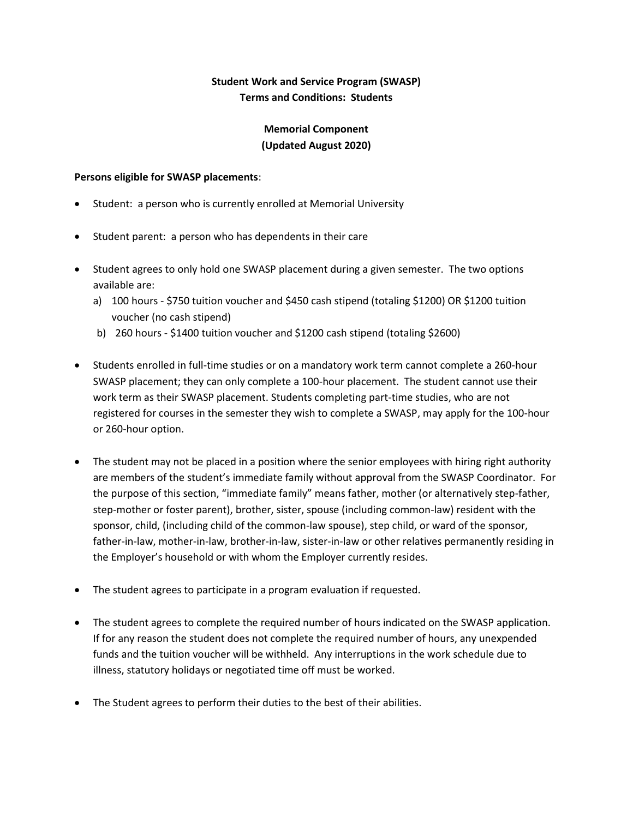## **Student Work and Service Program (SWASP) Terms and Conditions: Students**

## **Memorial Component (Updated August 2020)**

#### **Persons eligible for SWASP placements**:

- Student: a person who is currently enrolled at Memorial University
- Student parent: a person who has dependents in their care
- Student agrees to only hold one SWASP placement during a given semester. The two options available are:
	- a) 100 hours \$750 tuition voucher and \$450 cash stipend (totaling \$1200) OR \$1200 tuition voucher (no cash stipend)
	- b) 260 hours \$1400 tuition voucher and \$1200 cash stipend (totaling \$2600)
- Students enrolled in full-time studies or on a mandatory work term cannot complete a 260-hour SWASP placement; they can only complete a 100-hour placement. The student cannot use their work term as their SWASP placement. Students completing part-time studies, who are not registered for courses in the semester they wish to complete a SWASP, may apply for the 100-hour or 260-hour option.
- The student may not be placed in a position where the senior employees with hiring right authority are members of the student's immediate family without approval from the SWASP Coordinator. For the purpose of this section, "immediate family" means father, mother (or alternatively step-father, step-mother or foster parent), brother, sister, spouse (including common-law) resident with the sponsor, child, (including child of the common-law spouse), step child, or ward of the sponsor, father-in-law, mother-in-law, brother-in-law, sister-in-law or other relatives permanently residing in the Employer's household or with whom the Employer currently resides.
- The student agrees to participate in a program evaluation if requested.
- The student agrees to complete the required number of hours indicated on the SWASP application. If for any reason the student does not complete the required number of hours, any unexpended funds and the tuition voucher will be withheld. Any interruptions in the work schedule due to illness, statutory holidays or negotiated time off must be worked.
- The Student agrees to perform their duties to the best of their abilities.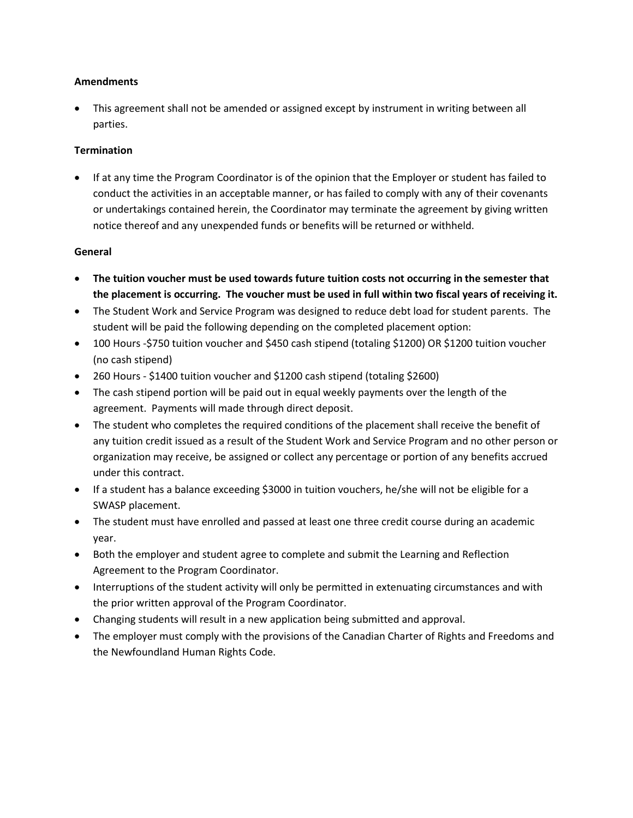#### **Amendments**

 This agreement shall not be amended or assigned except by instrument in writing between all parties.

### **Termination**

 If at any time the Program Coordinator is of the opinion that the Employer or student has failed to conduct the activities in an acceptable manner, or has failed to comply with any of their covenants or undertakings contained herein, the Coordinator may terminate the agreement by giving written notice thereof and any unexpended funds or benefits will be returned or withheld.

#### **General**

- **The tuition voucher must be used towards future tuition costs not occurring in the semester that the placement is occurring. The voucher must be used in full within two fiscal years of receiving it.**
- The Student Work and Service Program was designed to reduce debt load for student parents. The student will be paid the following depending on the completed placement option:
- 100 Hours -\$750 tuition voucher and \$450 cash stipend (totaling \$1200) OR \$1200 tuition voucher (no cash stipend)
- 260 Hours \$1400 tuition voucher and \$1200 cash stipend (totaling \$2600)
- The cash stipend portion will be paid out in equal weekly payments over the length of the agreement. Payments will made through direct deposit.
- The student who completes the required conditions of the placement shall receive the benefit of any tuition credit issued as a result of the Student Work and Service Program and no other person or organization may receive, be assigned or collect any percentage or portion of any benefits accrued under this contract.
- If a student has a balance exceeding \$3000 in tuition vouchers, he/she will not be eligible for a SWASP placement.
- The student must have enrolled and passed at least one three credit course during an academic year.
- Both the employer and student agree to complete and submit the Learning and Reflection Agreement to the Program Coordinator.
- Interruptions of the student activity will only be permitted in extenuating circumstances and with the prior written approval of the Program Coordinator.
- Changing students will result in a new application being submitted and approval.
- The employer must comply with the provisions of the Canadian Charter of Rights and Freedoms and the Newfoundland Human Rights Code.